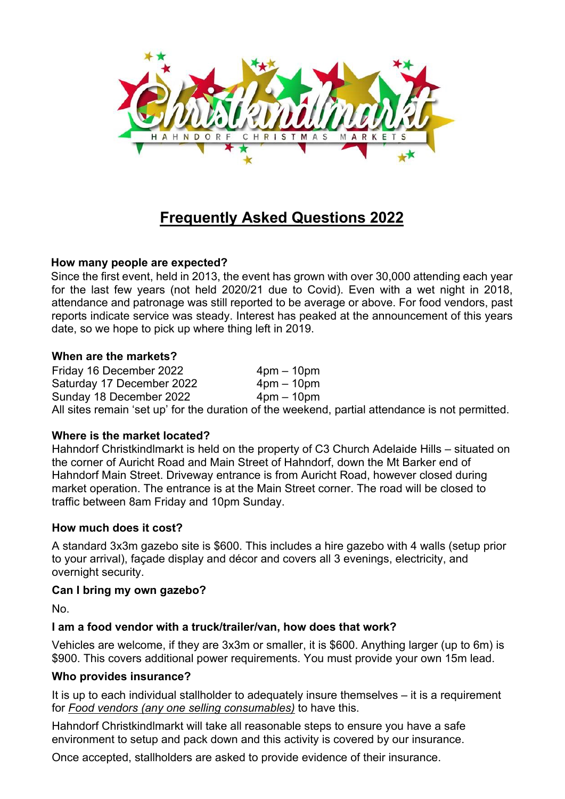

# **Frequently Asked Questions 2022**

# **How many people are expected?**

Since the first event, held in 2013, the event has grown with over 30,000 attending each year for the last few years (not held 2020/21 due to Covid). Even with a wet night in 2018, attendance and patronage was still reported to be average or above. For food vendors, past reports indicate service was steady. Interest has peaked at the announcement of this years date, so we hope to pick up where thing left in 2019.

#### **When are the markets?**

Friday 16 December 2022 4pm – 10pm Saturday 17 December 2022 4pm - 10pm Sunday 18 December 2022 4pm – 10pm All sites remain 'set up' for the duration of the weekend, partial attendance is not permitted.

## **Where is the market located?**

Hahndorf Christkindlmarkt is held on the property of C3 Church Adelaide Hills – situated on the corner of Auricht Road and Main Street of Hahndorf, down the Mt Barker end of Hahndorf Main Street. Driveway entrance is from Auricht Road, however closed during market operation. The entrance is at the Main Street corner. The road will be closed to traffic between 8am Friday and 10pm Sunday.

## **How much does it cost?**

A standard 3x3m gazebo site is \$600. This includes a hire gazebo with 4 walls (setup prior to your arrival), façade display and décor and covers all 3 evenings, electricity, and overnight security.

## **Can I bring my own gazebo?**

No.

# **I am a food vendor with a truck/trailer/van, how does that work?**

Vehicles are welcome, if they are 3x3m or smaller, it is \$600. Anything larger (up to 6m) is \$900. This covers additional power requirements. You must provide your own 15m lead.

## **Who provides insurance?**

It is up to each individual stallholder to adequately insure themselves – it is a requirement for *Food vendors (any one selling consumables)* to have this.

Hahndorf Christkindlmarkt will take all reasonable steps to ensure you have a safe environment to setup and pack down and this activity is covered by our insurance.

Once accepted, stallholders are asked to provide evidence of their insurance.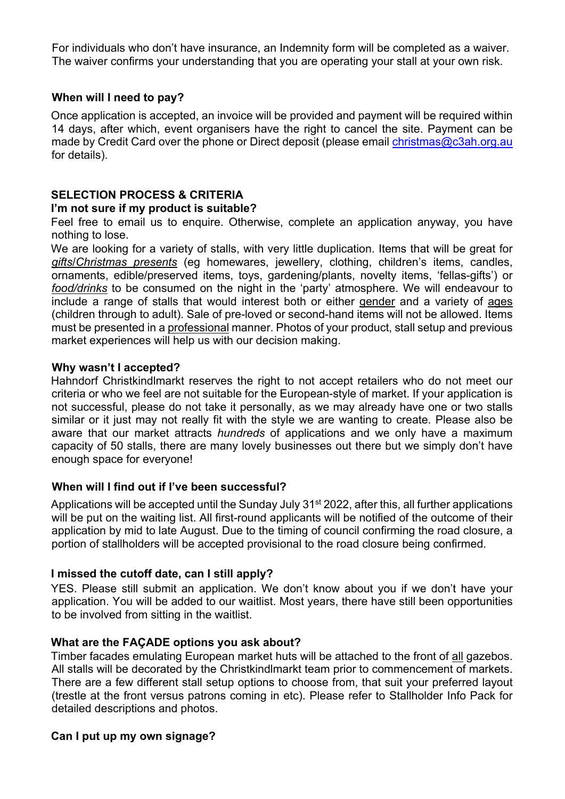For individuals who don't have insurance, an Indemnity form will be completed as a waiver. The waiver confirms your understanding that you are operating your stall at your own risk.

# **When will I need to pay?**

Once application is accepted, an invoice will be provided and payment will be required within 14 days, after which, event organisers have the right to cancel the site. Payment can be made by Credit Card over the phone or Direct deposit (please email christmas@c3ah.org.au for details).

# **SELECTION PROCESS & CRITERIA**

## **I'm not sure if my product is suitable?**

Feel free to email us to enquire. Otherwise, complete an application anyway, you have nothing to lose.

We are looking for a variety of stalls, with very little duplication. Items that will be great for *gifts*/*Christmas presents* (eg homewares, jewellery, clothing, children's items, candles, ornaments, edible/preserved items, toys, gardening/plants, novelty items, 'fellas-gifts') or *food/drinks* to be consumed on the night in the 'party' atmosphere. We will endeavour to include a range of stalls that would interest both or either gender and a variety of ages (children through to adult). Sale of pre-loved or second-hand items will not be allowed. Items must be presented in a professional manner. Photos of your product, stall setup and previous market experiences will help us with our decision making.

## **Why wasn't I accepted?**

Hahndorf Christkindlmarkt reserves the right to not accept retailers who do not meet our criteria or who we feel are not suitable for the European-style of market. If your application is not successful, please do not take it personally, as we may already have one or two stalls similar or it just may not really fit with the style we are wanting to create. Please also be aware that our market attracts *hundreds* of applications and we only have a maximum capacity of 50 stalls, there are many lovely businesses out there but we simply don't have enough space for everyone!

# **When will I find out if I've been successful?**

Applications will be accepted until the Sunday July 31<sup>st</sup> 2022, after this, all further applications will be put on the waiting list. All first-round applicants will be notified of the outcome of their application by mid to late August. Due to the timing of council confirming the road closure, a portion of stallholders will be accepted provisional to the road closure being confirmed.

# **I missed the cutoff date, can I still apply?**

YES. Please still submit an application. We don't know about you if we don't have your application. You will be added to our waitlist. Most years, there have still been opportunities to be involved from sitting in the waitlist.

## **What are the FAÇADE options you ask about?**

Timber facades emulating European market huts will be attached to the front of all gazebos. All stalls will be decorated by the Christkindlmarkt team prior to commencement of markets. There are a few different stall setup options to choose from, that suit your preferred layout (trestle at the front versus patrons coming in etc). Please refer to Stallholder Info Pack for detailed descriptions and photos.

## **Can I put up my own signage?**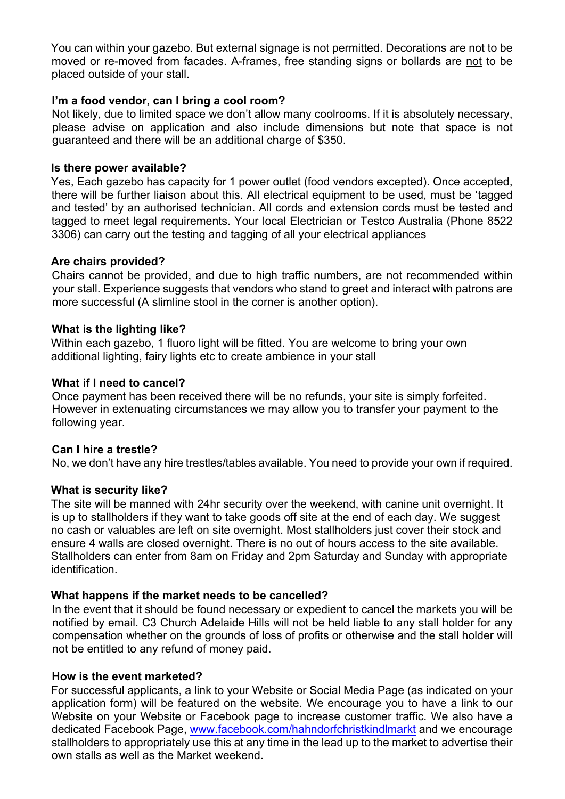You can within your gazebo. But external signage is not permitted. Decorations are not to be moved or re-moved from facades. A-frames, free standing signs or bollards are not to be placed outside of your stall.

#### **I'm a food vendor, can I bring a cool room?**

Not likely, due to limited space we don't allow many coolrooms. If it is absolutely necessary, please advise on application and also include dimensions but note that space is not guaranteed and there will be an additional charge of \$350.

#### **Is there power available?**

Yes, Each gazebo has capacity for 1 power outlet (food vendors excepted). Once accepted, there will be further liaison about this. All electrical equipment to be used, must be 'tagged and tested' by an authorised technician. All cords and extension cords must be tested and tagged to meet legal requirements. Your local Electrician or Testco Australia (Phone 8522 3306) can carry out the testing and tagging of all your electrical appliances

#### **Are chairs provided?**

Chairs cannot be provided, and due to high traffic numbers, are not recommended within your stall. Experience suggests that vendors who stand to greet and interact with patrons are more successful (A slimline stool in the corner is another option).

#### **What is the lighting like?**

Within each gazebo, 1 fluoro light will be fitted. You are welcome to bring your own additional lighting, fairy lights etc to create ambience in your stall

#### **What if I need to cancel?**

Once payment has been received there will be no refunds, your site is simply forfeited. However in extenuating circumstances we may allow you to transfer your payment to the following year.

## **Can I hire a trestle?**

No, we don't have any hire trestles/tables available. You need to provide your own if required.

## **What is security like?**

The site will be manned with 24hr security over the weekend, with canine unit overnight. It is up to stallholders if they want to take goods off site at the end of each day. We suggest no cash or valuables are left on site overnight. Most stallholders just cover their stock and ensure 4 walls are closed overnight. There is no out of hours access to the site available. Stallholders can enter from 8am on Friday and 2pm Saturday and Sunday with appropriate identification.

#### **What happens if the market needs to be cancelled?**

In the event that it should be found necessary or expedient to cancel the markets you will be notified by email. C3 Church Adelaide Hills will not be held liable to any stall holder for any compensation whether on the grounds of loss of profits or otherwise and the stall holder will not be entitled to any refund of money paid.

#### **How is the event marketed?**

For successful applicants, a link to your Website or Social Media Page (as indicated on your application form) will be featured on the website. We encourage you to have a link to our Website on your Website or Facebook page to increase customer traffic. We also have a dedicated Facebook Page, www.facebook.com/hahndorfchristkindlmarkt and we encourage stallholders to appropriately use this at any time in the lead up to the market to advertise their own stalls as well as the Market weekend.